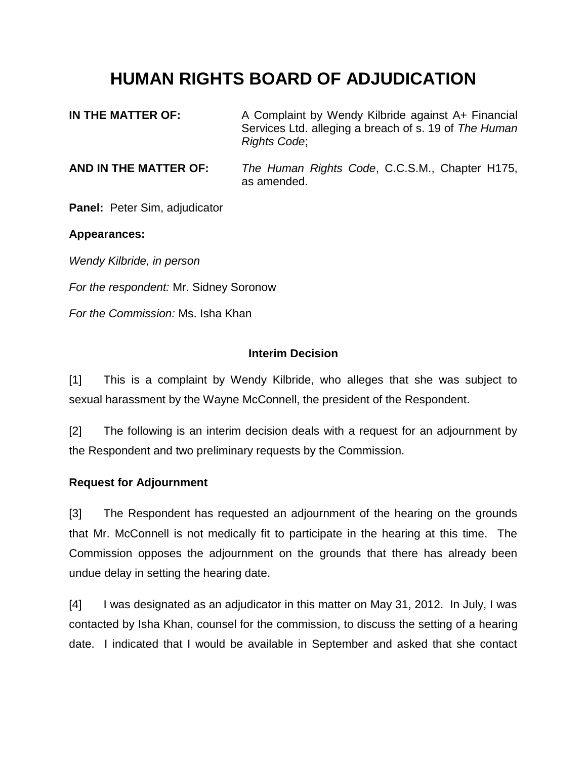# **HUMAN RIGHTS BOARD OF ADJUDICATION**

| IN THE MATTER OF:     | A Complaint by Wendy Kilbride against A+ Financial<br>Services Ltd. alleging a breach of s. 19 of The Human<br><b>Rights Code:</b> |
|-----------------------|------------------------------------------------------------------------------------------------------------------------------------|
| AND IN TUE MATTED OF. | The Human Dights Cade CCCM Chapter $\overline{u}$ 175                                                                              |

**AND IN THE MATTER OF:** *The Human Rights Code*, C.C.S.M., Chapter H175, as amended.

**Panel:** Peter Sim, adjudicator

### **Appearances:**

*Wendy Kilbride, in person*

*For the respondent:* Mr. Sidney Soronow

*For the Commission:* Ms. Isha Khan

### **Interim Decision**

[1] This is a complaint by Wendy Kilbride, who alleges that she was subject to sexual harassment by the Wayne McConnell, the president of the Respondent.

[2] The following is an interim decision deals with a request for an adjournment by the Respondent and two preliminary requests by the Commission.

# **Request for Adjournment**

[3] The Respondent has requested an adjournment of the hearing on the grounds that Mr. McConnell is not medically fit to participate in the hearing at this time. The Commission opposes the adjournment on the grounds that there has already been undue delay in setting the hearing date.

[4] I was designated as an adjudicator in this matter on May 31, 2012. In July, I was contacted by Isha Khan, counsel for the commission, to discuss the setting of a hearing date. I indicated that I would be available in September and asked that she contact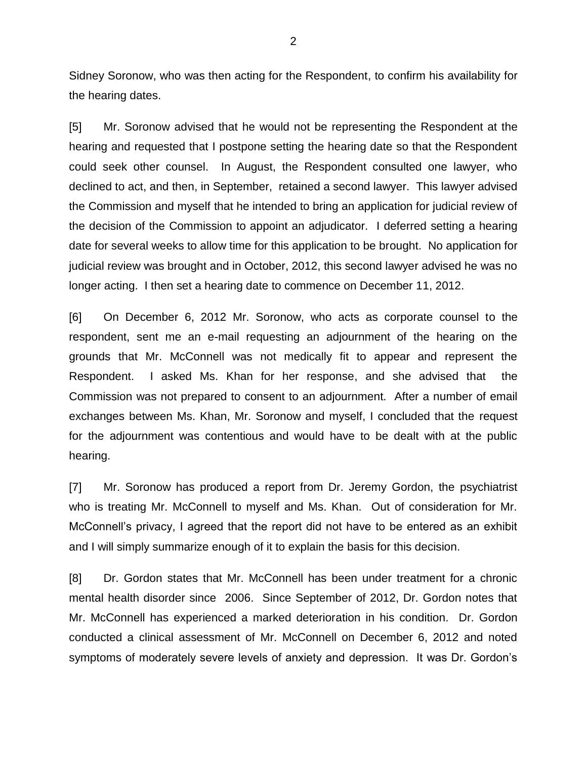Sidney Soronow, who was then acting for the Respondent, to confirm his availability for the hearing dates.

[5] Mr. Soronow advised that he would not be representing the Respondent at the hearing and requested that I postpone setting the hearing date so that the Respondent could seek other counsel. In August, the Respondent consulted one lawyer, who declined to act, and then, in September, retained a second lawyer. This lawyer advised the Commission and myself that he intended to bring an application for judicial review of the decision of the Commission to appoint an adjudicator. I deferred setting a hearing date for several weeks to allow time for this application to be brought. No application for judicial review was brought and in October, 2012, this second lawyer advised he was no longer acting. I then set a hearing date to commence on December 11, 2012.

[6] On December 6, 2012 Mr. Soronow, who acts as corporate counsel to the respondent, sent me an e-mail requesting an adjournment of the hearing on the grounds that Mr. McConnell was not medically fit to appear and represent the Respondent. I asked Ms. Khan for her response, and she advised that the Commission was not prepared to consent to an adjournment. After a number of email exchanges between Ms. Khan, Mr. Soronow and myself, I concluded that the request for the adjournment was contentious and would have to be dealt with at the public hearing.

[7] Mr. Soronow has produced a report from Dr. Jeremy Gordon, the psychiatrist who is treating Mr. McConnell to myself and Ms. Khan. Out of consideration for Mr. McConnell's privacy, I agreed that the report did not have to be entered as an exhibit and I will simply summarize enough of it to explain the basis for this decision.

[8] Dr. Gordon states that Mr. McConnell has been under treatment for a chronic mental health disorder since 2006. Since September of 2012, Dr. Gordon notes that Mr. McConnell has experienced a marked deterioration in his condition. Dr. Gordon conducted a clinical assessment of Mr. McConnell on December 6, 2012 and noted symptoms of moderately severe levels of anxiety and depression. It was Dr. Gordon's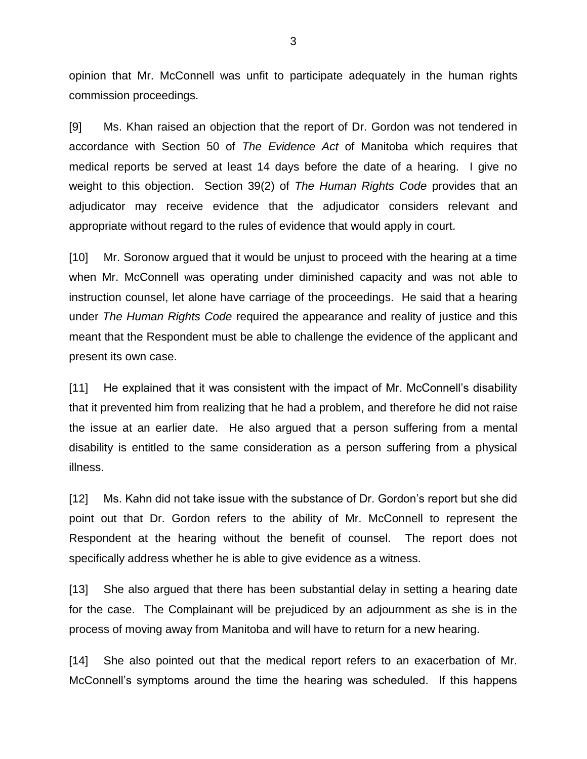opinion that Mr. McConnell was unfit to participate adequately in the human rights commission proceedings.

[9] Ms. Khan raised an objection that the report of Dr. Gordon was not tendered in accordance with Section 50 of *The Evidence Act* of Manitoba which requires that medical reports be served at least 14 days before the date of a hearing. I give no weight to this objection. Section 39(2) of *The Human Rights Code* provides that an adjudicator may receive evidence that the adjudicator considers relevant and appropriate without regard to the rules of evidence that would apply in court.

[10] Mr. Soronow argued that it would be unjust to proceed with the hearing at a time when Mr. McConnell was operating under diminished capacity and was not able to instruction counsel, let alone have carriage of the proceedings. He said that a hearing under *The Human Rights Code* required the appearance and reality of justice and this meant that the Respondent must be able to challenge the evidence of the applicant and present its own case.

[11] He explained that it was consistent with the impact of Mr. McConnell's disability that it prevented him from realizing that he had a problem, and therefore he did not raise the issue at an earlier date. He also argued that a person suffering from a mental disability is entitled to the same consideration as a person suffering from a physical illness.

[12] Ms. Kahn did not take issue with the substance of Dr. Gordon's report but she did point out that Dr. Gordon refers to the ability of Mr. McConnell to represent the Respondent at the hearing without the benefit of counsel. The report does not specifically address whether he is able to give evidence as a witness.

[13] She also argued that there has been substantial delay in setting a hearing date for the case. The Complainant will be prejudiced by an adjournment as she is in the process of moving away from Manitoba and will have to return for a new hearing.

[14] She also pointed out that the medical report refers to an exacerbation of Mr. McConnell's symptoms around the time the hearing was scheduled. If this happens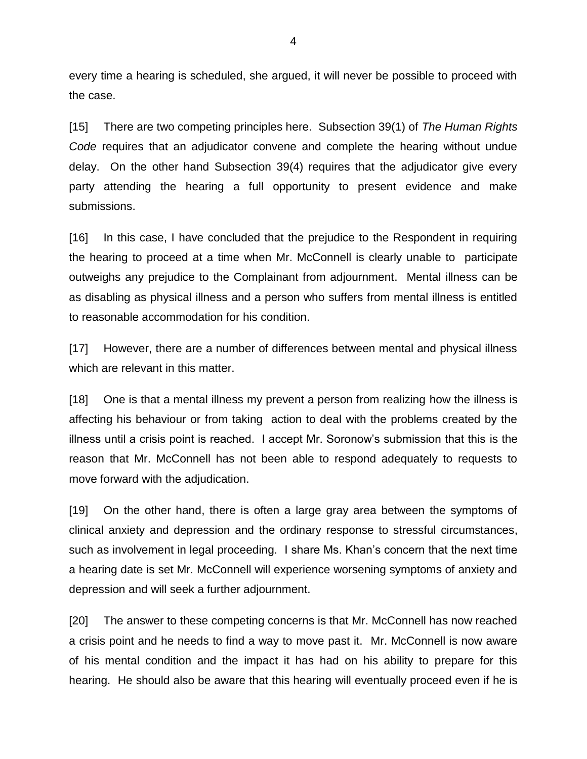every time a hearing is scheduled, she argued, it will never be possible to proceed with the case.

[15] There are two competing principles here. Subsection 39(1) of *The Human Rights Code* requires that an adjudicator convene and complete the hearing without undue delay. On the other hand Subsection 39(4) requires that the adjudicator give every party attending the hearing a full opportunity to present evidence and make submissions.

[16] In this case, I have concluded that the prejudice to the Respondent in requiring the hearing to proceed at a time when Mr. McConnell is clearly unable to participate outweighs any prejudice to the Complainant from adjournment. Mental illness can be as disabling as physical illness and a person who suffers from mental illness is entitled to reasonable accommodation for his condition.

[17] However, there are a number of differences between mental and physical illness which are relevant in this matter.

[18] One is that a mental illness my prevent a person from realizing how the illness is affecting his behaviour or from taking action to deal with the problems created by the illness until a crisis point is reached. I accept Mr. Soronow's submission that this is the reason that Mr. McConnell has not been able to respond adequately to requests to move forward with the adjudication.

[19] On the other hand, there is often a large gray area between the symptoms of clinical anxiety and depression and the ordinary response to stressful circumstances, such as involvement in legal proceeding. I share Ms. Khan's concern that the next time a hearing date is set Mr. McConnell will experience worsening symptoms of anxiety and depression and will seek a further adjournment.

[20] The answer to these competing concerns is that Mr. McConnell has now reached a crisis point and he needs to find a way to move past it. Mr. McConnell is now aware of his mental condition and the impact it has had on his ability to prepare for this hearing. He should also be aware that this hearing will eventually proceed even if he is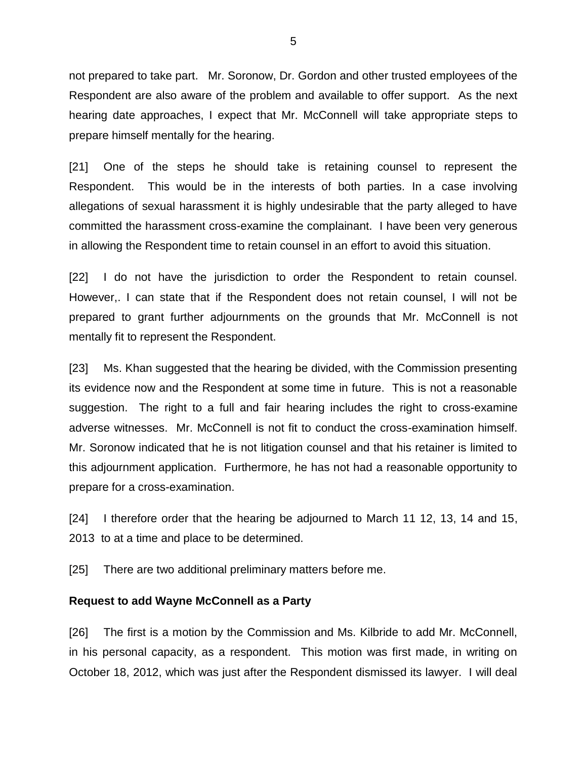not prepared to take part. Mr. Soronow, Dr. Gordon and other trusted employees of the Respondent are also aware of the problem and available to offer support. As the next hearing date approaches, I expect that Mr. McConnell will take appropriate steps to prepare himself mentally for the hearing.

[21] One of the steps he should take is retaining counsel to represent the Respondent. This would be in the interests of both parties. In a case involving allegations of sexual harassment it is highly undesirable that the party alleged to have committed the harassment cross-examine the complainant. I have been very generous in allowing the Respondent time to retain counsel in an effort to avoid this situation.

[22] I do not have the jurisdiction to order the Respondent to retain counsel. However,. I can state that if the Respondent does not retain counsel, I will not be prepared to grant further adjournments on the grounds that Mr. McConnell is not mentally fit to represent the Respondent.

[23] Ms. Khan suggested that the hearing be divided, with the Commission presenting its evidence now and the Respondent at some time in future. This is not a reasonable suggestion. The right to a full and fair hearing includes the right to cross-examine adverse witnesses. Mr. McConnell is not fit to conduct the cross-examination himself. Mr. Soronow indicated that he is not litigation counsel and that his retainer is limited to this adjournment application. Furthermore, he has not had a reasonable opportunity to prepare for a cross-examination.

[24] I therefore order that the hearing be adjourned to March 11 12, 13, 14 and 15, 2013 to at a time and place to be determined.

[25] There are two additional preliminary matters before me.

#### **Request to add Wayne McConnell as a Party**

[26] The first is a motion by the Commission and Ms. Kilbride to add Mr. McConnell, in his personal capacity, as a respondent. This motion was first made, in writing on October 18, 2012, which was just after the Respondent dismissed its lawyer. I will deal